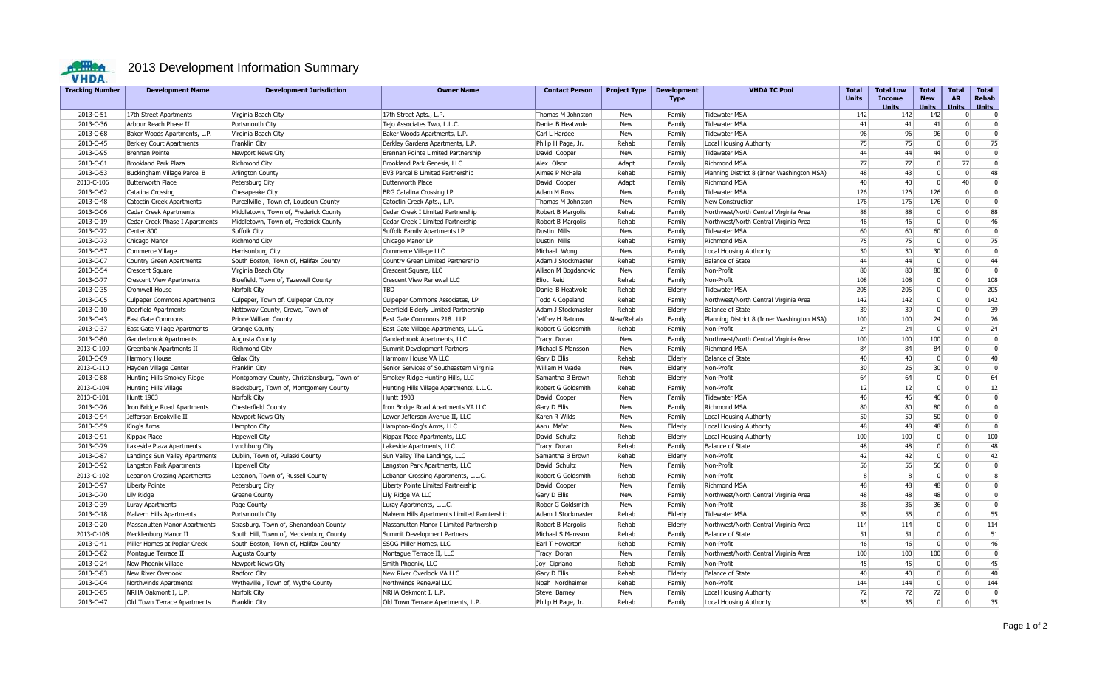

## **2013 Development Information Summary**

| <b>Tracking Number</b> | <b>Development Name</b>            | <b>Development Jurisdiction</b>            | <b>Owner Name</b>                            | <b>Contact Person</b>  | <b>Project Type</b> | <b>Development</b><br><b>Type</b> | <b>VHDA TC Pool</b>                        | Total<br><b>Units</b> | <b>Total Low</b><br><b>Income</b><br>Units | <b>Total</b><br><b>New</b><br><b>Units</b> | Total<br><b>AR</b><br><b>Units</b> | <b>Total</b><br><b>Rehab</b><br><b>Units</b> |
|------------------------|------------------------------------|--------------------------------------------|----------------------------------------------|------------------------|---------------------|-----------------------------------|--------------------------------------------|-----------------------|--------------------------------------------|--------------------------------------------|------------------------------------|----------------------------------------------|
| 2013-C-51              | 17th Street Apartments             | Virginia Beach City                        | 17th Street Apts., L.P.                      | Thomas M Johnston      | New                 | Family                            | <b>Tidewater MSA</b>                       | 142                   | 142                                        | 142                                        | $\overline{0}$                     | $\overline{0}$                               |
| 2013-C-36              | Arbour Reach Phase II              | Portsmouth City                            | Tejo Associates Two, L.L.C.                  | Daniel B Heatwole      | <b>New</b>          | Family                            | <b>Tidewater MSA</b>                       | 41                    | 41                                         | 41                                         | $\Omega$                           | $\overline{0}$                               |
| 2013-C-68              | Baker Woods Apartments, L.P.       | Virginia Beach City                        | Baker Woods Apartments, L.P.                 | Carl L Hardee          | <b>New</b>          | Family                            | <b>Tidewater MSA</b>                       | 96                    | 96                                         | 96                                         | $\Omega$                           | $\Omega$                                     |
| 2013-C-45              | <b>Berkley Court Apartments</b>    | Franklin City                              | Berkley Gardens Apartments, L.P.             | Philip H Page, Jr.     | Rehab               | Family                            | Local Housing Authority                    | 75                    | 75                                         | $\Omega$                                   | $\Omega$                           | 75                                           |
| 2013-C-95              | Brennan Pointe                     | Newport News City                          | Brennan Pointe Limited Partnership           | David Cooper           | New                 | Family                            | Tidewater MSA                              | 44                    | 44                                         | 44                                         | $\Omega$                           | $\Omega$                                     |
| 2013-C-61              | <b>Brookland Park Plaza</b>        | <b>Richmond City</b>                       | Brookland Park Genesis, LLC                  | Alex Olson             | Adapt               | Family                            | Richmond MSA                               | 77                    | 77                                         | $\Omega$                                   | 77                                 | $\Omega$                                     |
| 2013-C-53              | Buckingham Village Parcel B        | Arlington County                           | BV3 Parcel B Limited Partnership             | Aimee P McHale         | Rehab               | Family                            | Planning District 8 (Inner Washington MSA) | 48                    | 43                                         | $\Omega$                                   | $\Omega$                           | 48                                           |
| 2013-C-106             | Butterworth Place                  | Petersburg City                            | <b>Butterworth Place</b>                     | David Cooper           | Adapt               | Family                            | <b>Richmond MSA</b>                        | 40                    | 40                                         | $\Omega$                                   | 40                                 | $\Omega$                                     |
| 2013-C-62              | Catalina Crossing                  | Chesapeake City                            | <b>BRG Catalina Crossing LP</b>              | Adam M Ross            | New                 | Family                            | <b>Tidewater MSA</b>                       | 126                   | 126                                        | 126                                        | 0                                  | $\Omega$                                     |
| 2013-C-48              | <b>Catoctin Creek Apartments</b>   | Purcellville, Town of, Loudoun County      | Catoctin Creek Apts., L.P.                   | Thomas M Johnston      | New                 | Family                            | New Construction                           | 176                   | 176                                        | 176                                        | $\overline{0}$                     | $\Omega$                                     |
| 2013-C-06              | Cedar Creek Apartments             | Middletown, Town of, Frederick County      | Cedar Creek I Limited Partnership            | Robert B Margolis      | Rehab               | Family                            | Northwest/North Central Virginia Area      | 88                    | 88                                         | $\Omega$                                   | $\overline{0}$                     | 88                                           |
| 2013-C-19              | Cedar Creek Phase I Apartments     | Middletown, Town of, Frederick County      | Cedar Creek I Limited Partnership            | Robert B Margolis      | Rehab               | Family                            | Northwest/North Central Virginia Area      | 46                    | 46                                         | $\Omega$                                   | $\Omega$                           | 46                                           |
| 2013-C-72              | Center 800                         | Suffolk City                               | <b>Suffolk Family Apartments LP</b>          | Dustin Mills           | <b>New</b>          | Family                            | Tidewater MSA                              | 60                    | 60                                         | 60                                         | $\Omega$                           | $\Omega$                                     |
| 2013-C-73              | Chicago Manor                      | Richmond City                              | Chicago Manor LP                             | Dustin Mills           | Rehab               | Family                            | Richmond MSA                               | 75                    | 75                                         | $\Omega$                                   | 0                                  | 75                                           |
| 2013-C-57              | Commerce Village                   | Harrisonburg City                          | Commerce Village LLC                         | Michael Wong           | New                 | Family                            | Local Housing Authority                    | 30                    | 30                                         | 30 <sup>2</sup>                            | $\overline{0}$                     | $\overline{0}$                               |
| 2013-C-07              | Country Green Apartments           | South Boston, Town of, Halifax County      | Country Green Limited Partnership            | Adam J Stockmaster     | Rehab               | Family                            | <b>Balance of State</b>                    | 44                    | 44                                         | $\overline{0}$                             | 0                                  | 44                                           |
| 2013-C-54              | Crescent Square                    | Virginia Beach City                        | Crescent Square, LLC                         | Allison M Bogdanovic   | New                 | Family                            | Non-Profit                                 | 80                    | 80                                         | 80                                         | 0 <sup>1</sup>                     | $\Omega$                                     |
| 2013-C-77              | <b>Crescent View Apartments</b>    | Bluefield, Town of, Tazewell County        | <b>Crescent View Renewal LLC</b>             | Eliot Reid             | Rehab               | Family                            | Non-Profit                                 | 108                   | 108                                        | $\Omega$                                   | $\Omega$                           | 108                                          |
| 2013-C-35              | Cromwell House                     | Norfolk City                               | TBD                                          | Daniel B Heatwole      | Rehab               | Elderly                           | <b>Tidewater MSA</b>                       | 205                   | 205                                        | 0                                          | 0                                  | 205                                          |
| 2013-C-05              | <b>Culpeper Commons Apartments</b> | Culpeper, Town of, Culpeper County         | Culpeper Commons Associates, LP              | <b>Todd A Copeland</b> | Rehab               | Family                            | Northwest/North Central Virginia Area      | 142                   | 142                                        | $\overline{0}$                             | $\Omega$                           | 142                                          |
| 2013-C-10              | Deerfield Apartments               | Nottoway County, Crewe, Town of            | Deerfield Elderly Limited Partnership        | Adam J Stockmaster     | Rehab               | Elderly                           | <b>Balance of State</b>                    | 39                    | 39                                         | $\Omega$                                   | 0                                  | 39                                           |
| 2013-C-43              | East Gate Commons                  | Prince William County                      | East Gate Commons 218 LLLP                   | Jeffrey H Ratnow       | New/Rehab           | Family                            | Planning District 8 (Inner Washington MSA) | 100                   | 100                                        | 24                                         | $\Omega$                           | 76                                           |
| 2013-C-37              | East Gate Village Apartments       | Orange County                              | East Gate Village Apartments, L.L.C.         | Robert G Goldsmith     | Rehab               | Family                            | Non-Profit                                 | 24                    | 24                                         | $\Omega$                                   | $\Omega$                           | 24                                           |
| 2013-C-80              | Ganderbrook Apartments             | Augusta County                             | Ganderbrook Apartments, LLC                  | Tracy Doran            | New                 | Family                            | Northwest/North Central Virginia Area      | 100                   | 100                                        | 100                                        | 0                                  | $\Omega$                                     |
| 2013-C-109             | Greenbank Apartments II            | <b>Richmond City</b>                       | Summit Development Partners                  | Michael S Mansson      | <b>New</b>          | Family                            | <b>Richmond MSA</b>                        | 84                    | 84                                         | 84                                         | 0                                  | $\Omega$                                     |
| 2013-C-69              | Harmony House                      | Galax City                                 | Harmony House VA LLC                         | Gary D Ellis           | Rehab               | Elderly                           | <b>Balance of State</b>                    | 40                    | 40                                         | $\overline{0}$                             | $\overline{0}$                     | 40                                           |
| 2013-C-110             | Hayden Village Center              | Franklin City                              | Senior Services of Southeastern Virginia     | William H Wade         | <b>New</b>          | Elderly                           | Non-Profit                                 | 30                    | 26                                         | 30 <sup>1</sup>                            | $\Omega$                           | $\Omega$                                     |
| 2013-C-88              | Hunting Hills Smokey Ridge         | Montgomery County, Christiansburg, Town of | Smokey Ridge Hunting Hills, LLC              | Samantha B Brown       | Rehab               | Elderly                           | Non-Profit                                 | 64                    | 64                                         | $\Omega$                                   | $\overline{0}$                     | 64                                           |
| 2013-C-104             | Hunting Hills Village              | Blacksburg, Town of, Montgomery County     | Hunting Hills Village Apartments, L.L.C.     | Robert G Goldsmith     | Rehab               | Family                            | Non-Profit                                 | 12                    | 12                                         | 0                                          | $\overline{0}$                     | 12                                           |
| 2013-C-101             | <b>Huntt 1903</b>                  | Norfolk City                               | Huntt 1903                                   | David Cooper           | <b>New</b>          | Family                            | Tidewater MSA                              | 46                    | 46                                         | 46                                         | $\Omega$                           | $\Omega$                                     |
| 2013-C-76              | Iron Bridge Road Apartments        | Chesterfield County                        | Iron Bridge Road Apartments VA LLC           | Gary D Ellis           | New                 | Family                            | <b>Richmond MSA</b>                        | 80                    | 80                                         | 80                                         | 0                                  | $\Omega$                                     |
| 2013-C-94              | Jefferson Brookville II            | Newport News City                          | Lower Jefferson Avenue II, LLC               | Karen R Wilds          | <b>New</b>          | Family                            | Local Housing Authority                    | 50                    | 50                                         | 50                                         | $\Omega$                           | $\Omega$                                     |
| 2013-C-59              | King's Arms                        | Hampton City                               | Hampton-King's Arms, LLC                     | Aaru Ma'at             | New                 | Elderly                           | Local Housing Authority                    | 48                    | 48                                         | 48                                         | $\Omega$                           | $\Omega$                                     |
| 2013-C-91              | Kippax Place                       | Hopewell City                              | Kippax Place Apartments, LLC                 | David Schultz          | Rehab               | Elderly                           | Local Housing Authority                    | 100                   | 100                                        | $\Omega$                                   | $\overline{0}$                     | 100                                          |
| 2013-C-79              | Lakeside Plaza Apartments          | Lynchburg City                             | Lakeside Apartments, LLC                     | Tracy Doran            | Rehab               | Family                            | <b>Balance of State</b>                    | 48                    | 48                                         | 0                                          | $\Omega$                           | 48                                           |
| 2013-C-87              | Landings Sun Valley Apartments     | Dublin, Town of, Pulaski County            | Sun Valley The Landings, LLC                 | Samantha B Brown       | Rehab               | Elderly                           | Non-Profit                                 | 42                    | 42                                         | $\mathbf{0}$                               | $\overline{0}$                     | 42                                           |
| 2013-C-92              | Langston Park Apartments           | <b>Hopewell City</b>                       | Langston Park Apartments, LLC                | David Schultz          | <b>New</b>          | Family                            | Non-Profit                                 | 56                    | 56                                         | 56                                         | $\Omega$                           | $\overline{0}$                               |
| 2013-C-102             | Lebanon Crossing Apartments        | Lebanon, Town of, Russell County           | Lebanon Crossing Apartments, L.L.C.          | Robert G Goldsmith     | Rehab               | Family                            | Non-Profit                                 | 8                     | 8                                          | $\Omega$                                   | $\overline{0}$                     | 8                                            |
| 2013-C-97              | Liberty Pointe                     | Petersburg City                            | Liberty Pointe Limited Partnership           | David Cooper           | New                 | Family                            | <b>Richmond MSA</b>                        | 48                    | 48                                         | 48                                         | $\overline{0}$                     | $\Omega$                                     |
| 2013-C-70              | Lily Ridge                         | <b>Greene County</b>                       | Lily Ridge VA LLC                            | Gary D Ellis           | New                 | Family                            | Northwest/North Central Virginia Area      | 48                    | 48                                         | 48                                         | $\Omega$                           | $\Omega$                                     |
| 2013-C-39              | Luray Apartments                   | Page County                                | Luray Apartments, L.L.C.                     | Rober G Goldsmith      | <b>New</b>          | Family                            | Non-Profit                                 | 36                    | 36                                         | 36                                         | $\overline{0}$                     | $\Omega$                                     |
| 2013-C-18              | Malvern Hills Apartments           | Portsmouth City                            | Malvern Hills Apartments Limited Parntership | Adam J Stockmaster     | Rehab               | Elderly                           | <b>Tidewater MSA</b>                       | 55                    | 55                                         | $\Omega$                                   | 0                                  | 55                                           |
| 2013-C-20              | Massanutten Manor Apartments       | Strasburg, Town of, Shenandoah County      | Massanutten Manor I Limited Partnership      | Robert B Margolis      | Rehab               | Elderly                           | Northwest/North Central Virginia Area      | 114                   | 114                                        | $\overline{0}$                             | $\overline{0}$                     | 114                                          |
| 2013-C-108             | Mecklenburg Manor II               | South Hill, Town of, Mecklenburg County    | Summit Development Partners                  | Michael S Mansson      | Rehab               | Family                            | <b>Balance of State</b>                    | 51                    | 51                                         | $\Omega$                                   | $\Omega$                           | 51                                           |
| 2013-C-41              | Miller Homes at Poplar Creek       | South Boston, Town of, Halifax County      | SSOG Miller Homes, LLC                       | Earl T Howerton        | Rehab               | Family                            | Non-Profit                                 | 46                    | 46                                         | $\Omega$                                   | $\Omega$                           | 46                                           |
| 2013-C-82              | Montague Terrace II                | Augusta County                             | Montague Terrace II, LLC                     | Tracy Doran            | New                 | Family                            | Northwest/North Central Virginia Area      | 100                   | 100                                        | 100                                        | $\overline{0}$                     | $\Omega$                                     |
| 2013-C-24              | New Phoenix Village                | Newport News City                          | Smith Phoenix, LLC                           | Joy Cipriano           | Rehab               | Family                            | Non-Profit                                 | 45                    | 45                                         | $\Omega$                                   | $\Omega$                           | 45                                           |
| 2013-C-83              | New River Overlook                 | Radford City                               | New River Overlook VA LLC                    | Gary D Ellis           | Rehab               | Elderly                           | <b>Balance of State</b>                    | 40                    | 40                                         | $\Omega$                                   | $\Omega$                           | 40                                           |
| 2013-C-04              | Northwinds Apartments              | Wytheville, Town of, Wythe County          | Northwinds Renewal LLC                       | Noah Nordheimer        | Rehab               | Family                            | Non-Profit                                 | 144                   | 144                                        | $\Omega$                                   | $\Omega$                           | 144                                          |
| 2013-C-85              | NRHA Oakmont I, L.P.               | Norfolk City                               | NRHA Oakmont I, L.P.                         | Steve Barney           | New                 | Family                            | Local Housing Authority                    | 72                    | 72                                         | 72                                         | $\Omega$                           | $\Omega$                                     |
| 2013-C-47              | Old Town Terrace Apartments        | Franklin City                              | Old Town Terrace Apartments, L.P.            | Philip H Page, Jr.     | Rehab               | Family                            | Local Housing Authority                    | 35                    | 35                                         | $\overline{0}$                             | $\Omega$                           | 35                                           |